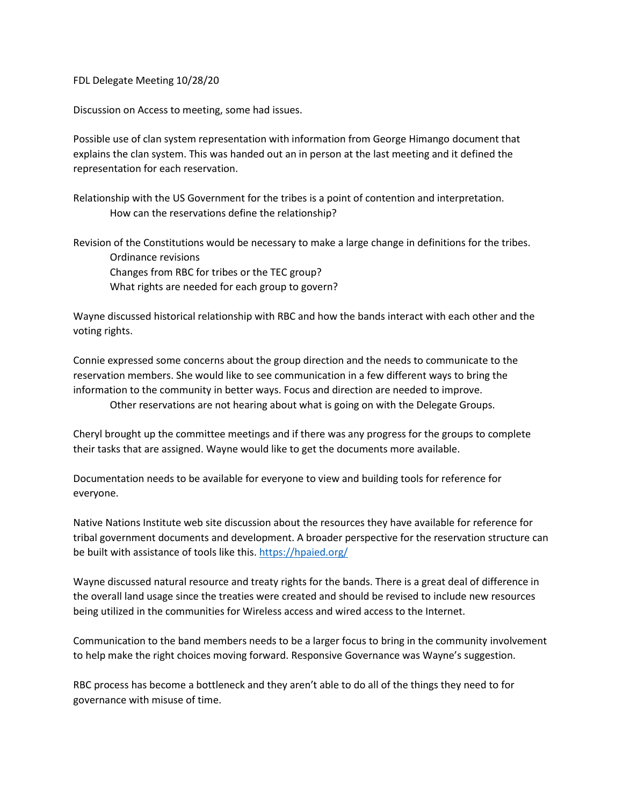FDL Delegate Meeting 10/28/20

Discussion on Access to meeting, some had issues.

Possible use of clan system representation with information from George Himango document that explains the clan system. This was handed out an in person at the last meeting and it defined the representation for each reservation.

Relationship with the US Government for the tribes is a point of contention and interpretation. How can the reservations define the relationship?

Revision of the Constitutions would be necessary to make a large change in definitions for the tribes. Ordinance revisions Changes from RBC for tribes or the TEC group? What rights are needed for each group to govern?

Wayne discussed historical relationship with RBC and how the bands interact with each other and the voting rights.

Connie expressed some concerns about the group direction and the needs to communicate to the reservation members. She would like to see communication in a few different ways to bring the information to the community in better ways. Focus and direction are needed to improve.

Other reservations are not hearing about what is going on with the Delegate Groups.

Cheryl brought up the committee meetings and if there was any progress for the groups to complete their tasks that are assigned. Wayne would like to get the documents more available.

Documentation needs to be available for everyone to view and building tools for reference for everyone.

Native Nations Institute web site discussion about the resources they have available for reference for tribal government documents and development. A broader perspective for the reservation structure can be built with assistance of tools like this[. https://hpaied.org/](https://hpaied.org/)

Wayne discussed natural resource and treaty rights for the bands. There is a great deal of difference in the overall land usage since the treaties were created and should be revised to include new resources being utilized in the communities for Wireless access and wired access to the Internet.

Communication to the band members needs to be a larger focus to bring in the community involvement to help make the right choices moving forward. Responsive Governance was Wayne's suggestion.

RBC process has become a bottleneck and they aren't able to do all of the things they need to for governance with misuse of time.